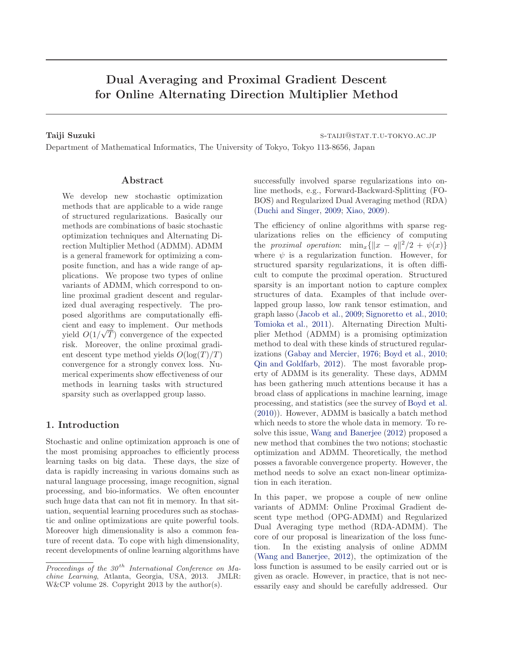# Dual Averaging and Proximal Gradient Descent for Online Alternating Direction Multiplier Method

Taiji Suzuki states is a state of the state of the state of states in the state of states  $\sim$  s-tails  $\sim$  s-tails  $\sim$  s-tails  $\sim$  s-tails  $\sim$  s-tails  $\sim$  s-tails  $\sim$  s-tails  $\sim$  s-tails  $\sim$  s-tails  $\sim$  s-tails  $\$ 

Department of Mathematical Informatics, The University of Tokyo, Tokyo 113-8656, Japan

#### Abstract

We develop new stochastic optimization methods that are applicable to a wide range of structured regularizations. Basically our methods are combinations of basic stochastic optimization techniques and Alternating Direction Multiplier Method (ADMM). ADMM is a general framework for optimizing a composite function, and has a wide range of applications. We propose two types of online variants of ADMM, which correspond to online proximal gradient descent and regularized dual averaging respectively. The proposed algorithms are computationally efficient and easy to implement. Our methods yield  $O(1/\sqrt{T})$  convergence of the expected risk. Moreover, the online proximal gradient descent type method yields  $O(\log(T)/T)$ convergence for a strongly convex loss. Numerical experiments show effectiveness of our methods in learning tasks with structured sparsity such as overlapped group lasso.

### 1. Introduction

Stochastic and online optimization approach is one of the most promising approaches to efficiently process learning tasks on big data. These days, the size of data is rapidly increasing in various domains such as natural language processing, image recognition, signal processing, and bio-informatics. We often encounter such huge data that can not fit in memory. In that situation, sequential learning procedures such as stochastic and online optimizations are quite powerful tools. Moreover high dimensionality is also a common feature of recent data. To cope with high dimensionality, recent developments of online learning algorithms have

successfully involved sparse regularizations into online methods, e.g., Forward-Backward-Splitting (FO-BOS) and Regularized Dual Averaging method (RDA) [\(Duchi and Singer,](#page-8-0) [2009;](#page-8-0) [Xiao](#page-8-0), [2009](#page-8-0)).

The efficiency of online algorithms with sparse regularizations relies on the efficiency of computing the proximal operation:  $\min_x \{ ||x - q||^2/2 + \psi(x) \}$ where  $\psi$  is a regularization function. However, for structured sparsity regularizations, it is often difficult to compute the proximal operation. Structured sparsity is an important notion to capture complex structures of data. Examples of that include overlapped group lasso, low rank tensor estimation, and graph lasso [\(Jacob et al.](#page-8-0), [2009;](#page-8-0) [Signoretto et al.](#page-8-0), [2010;](#page-8-0) [Tomioka et al.,](#page-8-0) [2011\)](#page-8-0). Alternating Direction Multiplier Method (ADMM) is a promising optimization method to deal with these kinds of structured regularizations [\(Gabay and Mercier](#page-8-0), [1976](#page-8-0); [Boyd et al.](#page-7-0), [2010;](#page-7-0) [Qin and Goldfarb,](#page-8-0) [2012](#page-8-0)). The most favorable property of ADMM is its generality. These days, ADMM has been gathering much attentions because it has a broad class of applications in machine learning, image processing, and statistics (see the survey of [Boyd et al.](#page-7-0) [\(2010](#page-7-0))). However, ADMM is basically a batch method which needs to store the whole data in memory. To resolve this issue, [Wang and Banerjee](#page-8-0) [\(2012](#page-8-0)) proposed a new method that combines the two notions; stochastic optimization and ADMM. Theoretically, the method posses a favorable convergence property. However, the method needs to solve an exact non-linear optimization in each iteration.

In this paper, we propose a couple of new online variants of ADMM: Online Proximal Gradient descent type method (OPG-ADMM) and Regularized Dual Averaging type method (RDA-ADMM). The core of our proposal is linearization of the loss function. In the existing analysis of online ADMM [\(Wang and Banerjee,](#page-8-0) [2012](#page-8-0)), the optimization of the loss function is assumed to be easily carried out or is given as oracle. However, in practice, that is not necessarily easy and should be carefully addressed. Our

Proceedings of the  $30<sup>th</sup>$  International Conference on Machine Learning, Atlanta, Georgia, USA, 2013. JMLR: W&CP volume 28. Copyright 2013 by the author(s).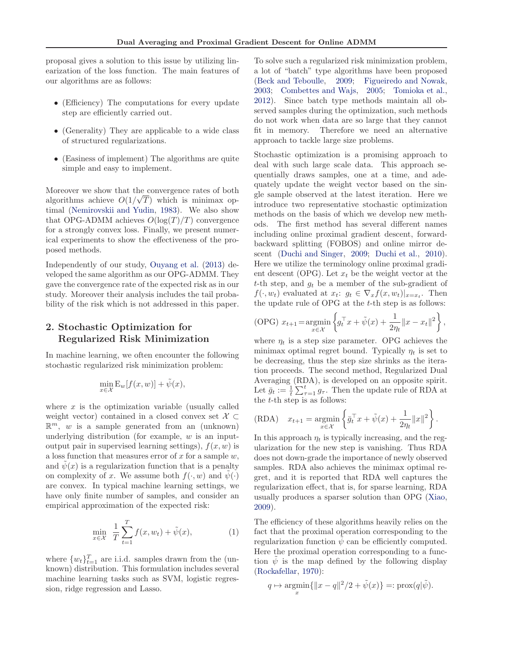<span id="page-1-0"></span>proposal gives a solution to this issue by utilizing linearization of the loss function. The main features of our algorithms are as follows:

- (Efficiency) The computations for every update step are efficiently carried out.
- (Generality) They are applicable to a wide class of structured regularizations.
- (Easiness of implement) The algorithms are quite simple and easy to implement.

Moreover we show that the convergence rates of both algorithms achieve  $O(1/\sqrt{T})$  which is minimax optimal [\(Nemirovskii and Yudin,](#page-8-0) [1983\)](#page-8-0). We also show that OPG-ADMM achieves  $O(\log(T)/T)$  convergence for a strongly convex loss. Finally, we present numerical experiments to show the effectiveness of the proposed methods.

Independently of our study, [Ouyang et al.](#page-8-0) [\(2013](#page-8-0)) developed the same algorithm as our OPG-ADMM. They gave the convergence rate of the expected risk as in our study. Moreover their analysis includes the tail probability of the risk which is not addressed in this paper.

## 2. Stochastic Optimization for Regularized Risk Minimization

In machine learning, we often encounter the following stochastic regularized risk minimization problem:

$$
\min_{x \in \mathcal{X}} \mathbf{E}_w[f(x, w)] + \tilde{\psi}(x),
$$

where  $x$  is the optimization variable (usually called weight vector) contained in a closed convex set  $\mathcal{X} \subset$  $\mathbb{R}^m$ , w is a sample generated from an (unknown) underlying distribution (for example,  $w$  is an inputoutput pair in supervised learning settings),  $f(x, w)$  is a loss function that measures error of x for a sample  $w$ , and  $\psi(x)$  is a regularization function that is a penalty on complexity of x. We assume both  $f(\cdot, w)$  and  $\psi(\cdot)$ are convex. In typical machine learning settings, we have only finite number of samples, and consider an empirical approximation of the expected risk:

$$
\min_{x \in \mathcal{X}} \frac{1}{T} \sum_{t=1}^{T} f(x, w_t) + \tilde{\psi}(x),
$$
 (1)

where  $\{w_t\}_{t=1}^T$  are i.i.d. samples drawn from the (unknown) distribution. This formulation includes several machine learning tasks such as SVM, logistic regression, ridge regression and Lasso.

To solve such a regularized risk minimization problem, a lot of "batch" type algorithms have been proposed [\(Beck and Teboulle,](#page-7-0) [2009](#page-7-0); [Figueiredo and Nowak,](#page-8-0) [2003](#page-8-0); [Combettes and Wajs](#page-7-0), [2005;](#page-7-0) [Tomioka et al.,](#page-8-0) [2012](#page-8-0)). Since batch type methods maintain all observed samples during the optimization, such methods do not work when data are so large that they cannot fit in memory. Therefore we need an alternative approach to tackle large size problems.

Stochastic optimization is a promising approach to deal with such large scale data. This approach sequentially draws samples, one at a time, and adequately update the weight vector based on the single sample observed at the latest iteration. Here we introduce two representative stochastic optimization methods on the basis of which we develop new methods. The first method has several different names including online proximal gradient descent, forwardbackward splitting (FOBOS) and online mirror descent [\(Duchi and Singer](#page-8-0), [2009;](#page-8-0) [Duchi et al.](#page-8-0), [2010\)](#page-8-0). Here we utilize the terminology online proximal gradient descent (OPG). Let  $x_t$  be the weight vector at the t-th step, and  $q_t$  be a member of the sub-gradient of  $f(\cdot, w_t)$  evaluated at  $x_t: g_t \in \nabla_x f(x, w_t)|_{x=x_t}$ . Then the update rule of OPG at the t-th step is as follows:

(OPG) 
$$
x_{t+1} = \underset{x \in \mathcal{X}}{\text{argmin}} \left\{ g_t^{\top} x + \tilde{\psi}(x) + \frac{1}{2\eta_t} ||x - x_t||^2 \right\},\,
$$

where  $\eta_t$  is a step size parameter. OPG achieves the minimax optimal regret bound. Typically  $\eta_t$  is set to be decreasing, thus the step size shrinks as the iteration proceeds. The second method, Regularized Dual Averaging (RDA), is developed on an opposite spirit. Let  $\bar{g}_t := \frac{1}{t} \sum_{\tau=1}^t g_\tau$ . Then the update rule of RDA at the  $t$ -th step is as follows:

(RDA) 
$$
x_{t+1} = \underset{x \in \mathcal{X}}{\operatorname{argmin}} \left\{ \bar{g}_t^{\top} x + \tilde{\psi}(x) + \frac{1}{2\eta_t} ||x||^2 \right\}.
$$

In this approach  $\eta_t$  is typically increasing, and the regularization for the new step is vanishing. Thus RDA does not down-grade the importance of newly observed samples. RDA also achieves the minimax optimal regret, and it is reported that RDA well captures the regularization effect, that is, for sparse learning, RDA usually produces a sparser solution than OPG [\(Xiao,](#page-8-0) [2009](#page-8-0)).

The efficiency of these algorithms heavily relies on the fact that the proximal operation corresponding to the regularization function  $\psi$  can be efficiently computed. Here the proximal operation corresponding to a function  $\psi$  is the map defined by the following display [\(Rockafellar,](#page-8-0) [1970\)](#page-8-0):

$$
q \mapsto \underset{x}{\operatorname{argmin}} \{ \|x - q\|^2 / 2 + \tilde{\psi}(x) \} =: \operatorname{prox}(q|\tilde{\psi}).
$$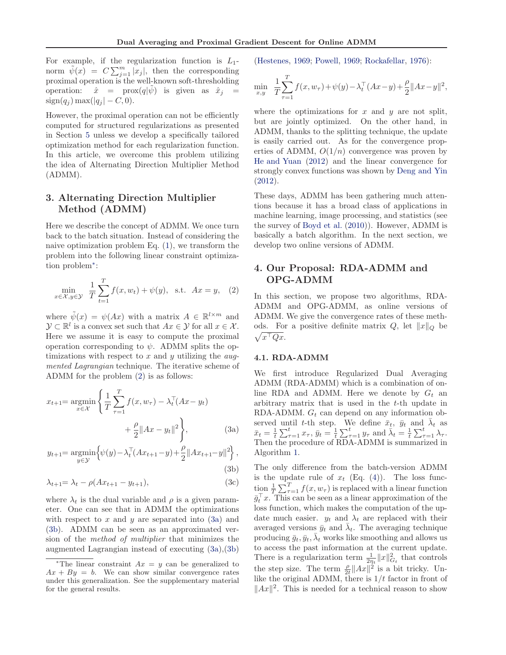<span id="page-2-0"></span>For example, if the regularization function is  $L_1$ norm  $\tilde{\psi}(x) = C \sum_{j=1}^{m} |x_j|$ , then the corresponding proximal operation is the well-known soft-thresholding operation:  $\hat{x} = \text{prox}(q|\psi)$  is given as  $\hat{x}_j =$  $sign(q_i) max(|q_i| - C, 0).$ 

However, the proximal operation can not be efficiently computed for structured regularizations as presented in Section [5](#page-5-0) unless we develop a specifically tailored optimization method for each regularization function. In this article, we overcome this problem utilizing the idea of Alternating Direction Multiplier Method (ADMM).

## 3. Alternating Direction Multiplier Method (ADMM)

Here we describe the concept of ADMM. We once turn back to the batch situation. Instead of considering the naive optimization problem Eq. [\(1\)](#page-1-0), we transform the problem into the following linear constraint optimization problem<sup>∗</sup> :

$$
\min_{x \in \mathcal{X}, y \in \mathcal{Y}} \frac{1}{T} \sum_{t=1}^{T} f(x, w_t) + \psi(y), \text{ s.t. } Ax = y, \quad (2)
$$

where  $\tilde{\psi}(x) = \psi(Ax)$  with a matrix  $A \in \mathbb{R}^{l \times m}$  and  $\mathcal{Y} \subset \mathbb{R}^l$  is a convex set such that  $Ax \in \mathcal{Y}$  for all  $x \in \mathcal{X}$ . Here we assume it is easy to compute the proximal operation corresponding to  $\psi$ . ADMM splits the optimizations with respect to  $x$  and  $y$  utilizing the *aug*mented Lagrangian technique. The iterative scheme of ADMM for the problem (2) is as follows:

$$
x_{t+1} = \underset{x \in \mathcal{X}}{\operatorname{argmin}} \left\{ \frac{1}{T} \sum_{\tau=1}^{T} f(x, w_{\tau}) - \lambda_t^{\top} (Ax - y_t) + \frac{\rho}{2} \|Ax - y_t\|^2 \right\},\tag{3a}
$$

$$
y_{t+1} = \underset{y \in \mathcal{Y}}{\text{argmin}} \Big\{ \psi(y) - \lambda_t^{\top} (Ax_{t+1} - y) + \frac{\rho}{2} ||Ax_{t+1} - y||^2 \Big\},\tag{3b}
$$

$$
-(3)
$$

$$
\lambda_{t+1} = \lambda_t - \rho(Ax_{t+1} - y_{t+1}),\tag{3c}
$$

where  $\lambda_t$  is the dual variable and  $\rho$  is a given parameter. One can see that in ADMM the optimizations with respect to  $x$  and  $y$  are separated into  $(3a)$  and (3b). ADMM can be seen as an approximated version of the method of multiplier that minimizes the augmented Lagrangian instead of executing (3a),(3b) [\(Hestenes](#page-8-0), [1969](#page-8-0); [Powell,](#page-8-0) [1969;](#page-8-0) [Rockafellar,](#page-8-0) [1976\)](#page-8-0):

$$
\min_{x,y} \ \frac{1}{T} \sum_{\tau=1}^T f(x, w_{\tau}) + \psi(y) - \lambda_t^{\top} (Ax - y) + \frac{\rho}{2} ||Ax - y||^2,
$$

where the optimizations for  $x$  and  $y$  are not split, but are jointly optimized. On the other hand, in ADMM, thanks to the splitting technique, the update is easily carried out. As for the convergence properties of ADMM,  $O(1/n)$  convergence was proven by [He and Yuan](#page-8-0) [\(2012\)](#page-8-0) and the linear convergence for strongly convex functions was shown by [Deng and Yin](#page-7-0) [\(2012](#page-7-0)).

These days, ADMM has been gathering much attentions because it has a broad class of applications in machine learning, image processing, and statistics (see the survey of [Boyd et al.](#page-7-0) [\(2010\)](#page-7-0)). However, ADMM is basically a batch algorithm. In the next section, we develop two online versions of ADMM.

## 4. Our Proposal: RDA-ADMM and OPG-ADMM

In this section, we propose two algorithms, RDA-ADMM and OPG-ADMM, as online versions of ADMM. We give the convergence rates of these methods. For a positive definite matrix  $Q$ , let  $||x||_Q$  be  $\sqrt{x^{\top}Qx}$ .

#### 4.1. RDA-ADMM

We first introduce Regularized Dual Averaging ADMM (RDA-ADMM) which is a combination of online RDA and ADMM. Here we denote by  $G_t$  and arbitrary matrix that is used in the t-th update in RDA-ADMM.  $G_t$  can depend on any information observed until t-th step. We define  $\bar{x}_t$ ,  $\bar{y}_t$  and  $\bar{\lambda}_t$  as  $\bar{x}_t = \frac{1}{t} \sum_{\tau=1}^t x_\tau, \, \bar{y}_t = \frac{1}{t} \sum_{\tau=1}^t y_\tau \text{ and } \bar{\lambda}_t = \frac{1}{t} \sum_{\tau=1}^t \lambda_\tau.$ Then the procedure of RDA-ADMM is summarized in Algorithm [1.](#page-3-0)

The only difference from the batch-version ADMM is the update rule of  $x_t$  (Eq. [\(4\)](#page-3-0)). The loss function  $\frac{1}{T} \sum_{\tau=1}^T f(x, w_\tau)$  is replaced with a linear function  $\bar{g}_t^{\top} x$ . This can be seen as a linear approximation of the loss function, which makes the computation of the update much easier.  $y_t$  and  $\lambda_t$  are replaced with their averaged versions  $\bar{y}_t$  and  $\bar{\lambda}_t$ . The averaging technique producing  $\bar{g}_t, \bar{y}_t, \bar{\lambda}_t$  works like smoothing and allows us to access the past information at the current update. There is a regularization term  $\frac{1}{2\eta_t} ||x||_{G_t}^2$  that controls the step size. The term  $\frac{\rho}{2t} ||Ax||^2$  is a bit tricky. Unlike the original ADMM, there is  $1/t$  factor in front of  $||Ax||^2$ . This is needed for a technical reason to show

<sup>\*</sup>The linear constraint  $Ax = y$  can be generalized to  $Ax + By = b$ . We can show similar convergence rates under this generalization. See the supplementary material for the general results.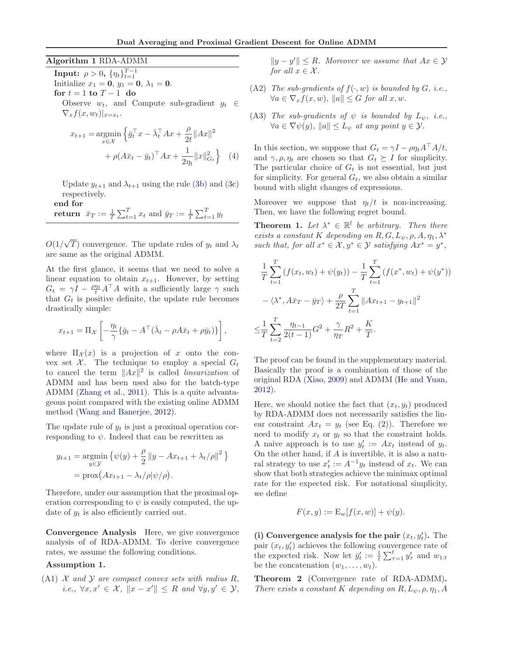#### <span id="page-3-0"></span>Algorithm 1 RDA-ADMM

**Input:**  $\rho > 0$ ,  $\{\eta_t\}_{t=1}^{T-1}$ Initialize  $x_1 = 0, y_1 = 0, \lambda_1 = 0.$ for  $t = 1$  to  $T - 1$  do Observe  $w_t$ , and Compute sub-gradient  $g_t \in$  $\nabla_x f(x, w_t)|_{x=x_t}.$  $x_{t+1} = \operatorname*{argmin}_{\mathbf{x}} \left\{ \bar{g}_t^{\top} x - \bar{\lambda}_t^{\top} A x + \frac{\rho}{2t} \|A x\|^2 \right\}$ x∈X  $2t$ 

+ 
$$
\rho(A\bar{x}_t - \bar{y}_t)^{\top}Ax + \frac{1}{2\eta_t}||x||_{G_t}^2
$$
 (4)

Update  $y_{t+1}$  and  $\lambda_{t+1}$  using the rule [\(3b\)](#page-2-0) and [\(3c\)](#page-2-0) respectively.

end for return  $\bar{x}_T := \frac{1}{T} \sum_{t=1}^T x_t$  and  $\bar{y}_T := \frac{1}{T} \sum_{t=1}^T y_t$ 

 $O(1/\sqrt{T})$  convergence. The update rules of  $y_t$  and  $\lambda_t$ are same as the original ADMM.

At the first glance, it seems that we need to solve a linear equation to obtain  $x_{t+1}$ . However, by setting  $G_t = \gamma I - \frac{\rho \eta_t}{t} A^\top A$  with a sufficiently large  $\gamma$  such that  $G_t$  is positive definite, the update rule becomes drastically simple:

$$
x_{t+1} = \Pi_{\mathcal{X}} \left[ -\frac{\eta_t}{\gamma} \{ \bar{g}_t - A^\top (\bar{\lambda}_t - \rho A \bar{x}_t + \rho \bar{y}_t) \} \right],
$$

where  $\Pi_{\mathcal{X}}(x)$  is a projection of x onto the convex set  $\mathcal{X}$ . The technique to employ a special  $G_t$ to cancel the term  $||Ax||^2$  is called *linearization* of ADMM and has been used also for the batch-type ADMM [\(Zhang et al.,](#page-8-0) [2011\)](#page-8-0). This is a quite advantageous point compared with the existing online ADMM method [\(Wang and Banerjee,](#page-8-0) [2012\)](#page-8-0).

The update rule of  $y_t$  is just a proximal operation corresponding to  $\psi$ . Indeed that can be rewritten as

$$
y_{t+1} = \underset{y \in \mathcal{Y}}{\text{argmin}} \left\{ \psi(y) + \frac{\rho}{2} ||y - Ax_{t+1} + \lambda_t/\rho||^2 \right\}
$$

$$
= \text{prox}(Ax_{t+1} - \lambda_t/\rho|\psi/\rho).
$$

Therefore, under our assumption that the proximal operation corresponding to  $\psi$  is easily computed, the update of  $y_t$  is also efficiently carried out.

Convergence Analysis Here, we give convergence analysis of of RDA-ADMM. To derive convergence rates, we assume the following conditions.

#### Assumption 1.

 $(A1)$  X and Y are compact convex sets with radius R, *i.e.*,  $\forall x, x' \in \mathcal{X}, \|x - x'\| \leq R$  and  $\forall y, y' \in \mathcal{Y},$ 

 $||y - y'|| \leq R$ . Moreover we assume that  $Ax \in \mathcal{Y}$ for all  $x \in \mathcal{X}$ .

- (A2) The sub-gradients of  $f(\cdot, w)$  is bounded by G, i.e.,  $\forall a \in \nabla_x f(x, w), ||a|| \leq G$  for all  $x, w$ .
- (A3) The sub-gradients of  $\psi$  is bounded by  $L_{\psi}$ , i.e.,  $\forall a \in \nabla \psi(y), ||a|| \leq L_{\psi}$  at any point  $y \in \mathcal{Y}$ .

In this section, we suppose that  $G_t = \gamma I - \rho \eta_t A^\top A/t$ , and  $\gamma$ ,  $\rho$ ,  $\eta_t$  are chosen so that  $G_t \succeq I$  for simplicity. The particular choice of  $G_t$  is not essential, but just for simplicity. For general  $G_t$ , we also obtain a similar bound with slight changes of expressions.

Moreover we suppose that  $\eta_t/t$  is non-increasing. Then, we have the following regret bound.

**Theorem 1.** Let  $\lambda^* \in \mathbb{R}^l$  be arbitrary. Then there exists a constant K depending on  $R, G, L_{\psi}, \rho, A, \eta_1, \lambda^*$ such that, for all  $x^* \in \mathcal{X}, y^* \in \mathcal{Y}$  satisfying  $Ax^* = y^*$ ,

$$
\frac{1}{T} \sum_{t=1}^{T} \left( f(x_t, w_t) + \psi(y_t) \right) - \frac{1}{T} \sum_{t=1}^{T} \left( f(x^*, w_t) + \psi(y^*) \right) \n- \langle \lambda^*, A \bar{x}_T - \bar{y}_T \rangle + \frac{\rho}{2T} \sum_{t=1}^{T} ||Ax_{t+1} - y_{t+1}||^2 \n\leq \frac{1}{T} \sum_{t=2}^{T} \frac{\eta_{t-1}}{2(t-1)} G^2 + \frac{\gamma}{\eta_T} R^2 + \frac{K}{T}.
$$

The proof can be found in the supplementary material. Basically the proof is a combination of those of the original RDA [\(Xiao](#page-8-0), [2009\)](#page-8-0) and ADMM [\(He and Yuan,](#page-8-0) [2012](#page-8-0)).

Here, we should notice the fact that  $(x_t, y_t)$  produced by RDA-ADMM does not necessarily satisfies the linear constraint  $Ax_t = y_t$  (see Eq. [\(2\)](#page-2-0)). Therefore we need to modify  $x_t$  or  $y_t$  so that the constraint holds. A naive approach is to use  $y_t' := Ax_t$  instead of  $y_t$ . On the other hand, if  $A$  is invertible, it is also a natural strategy to use  $x'_t := A^{-1}y_t$  instead of  $x_t$ . We can show that both strategies achieve the minimax optimal rate for the expected risk. For notational simplicity, we define

$$
F(x, y) := \mathcal{E}_w[f(x, w)] + \psi(y).
$$

(i) Convergence analysis for the pair  $(x_t, y_t')$ . The pair  $(x_t, y'_t)$  achieves the following convergence rate of the expected risk. Now let  $\bar{y}'_t := \frac{1}{t} \sum_{\tau=1}^t y'_\tau$  and  $w_{1:t}$ be the concatenation  $(w_1, \ldots, w_t)$ .

Theorem 2 (Convergence rate of RDA-ADMM). There exists a constant K depending on  $R, L_{\psi}, \rho, \eta_1, A$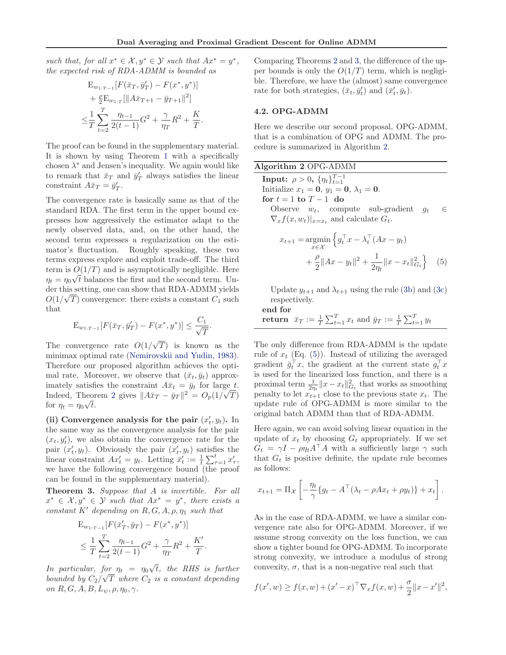such that, for all  $x^* \in \mathcal{X}, y^* \in \mathcal{Y}$  such that  $Ax^* = y^*$ , the expected risk of RDA-ADMM is bounded as

$$
E_{w_{1:T-1}}[F(\bar{x}_T, \bar{y}'_T) - F(x^*, y^*)]
$$
  
+  $\frac{\rho}{2} E_{w_{1:T}}[\|A\bar{x}_{T+1} - \bar{y}_{T+1}\|^2]$   
 $\leq \frac{1}{T} \sum_{t=2}^T \frac{\eta_{t-1}}{2(t-1)} G^2 + \frac{\gamma}{\eta_T} R^2 + \frac{K}{T}.$ 

The proof can be found in the supplementary material. It is shown by using Theorem [1](#page-3-0) with a specifically chosen  $\lambda^*$  and Jensen's inequality. We again would like to remark that  $\bar{x}_T$  and  $\bar{y}'_T$  always satisfies the linear constraint  $A\bar{x}_T = \bar{y}'_T$ .

The convergence rate is basically same as that of the standard RDA. The first term in the upper bound expresses how aggressively the estimator adapt to the newly observed data, and, on the other hand, the second term expresses a regularization on the estimator's fluctuation. Roughly speaking, these two terms express explore and exploit trade-off. The third term is  $O(1/T)$  and is asymptotically negligible. Here  $\eta_t = \eta_0 \sqrt{t}$  balances the first and the second term. Under this setting, one can show that RDA-ADMM yields  $O(1/\sqrt{T})$  convergence: there exists a constant  $C_1$  such that

$$
\mathcal{E}_{w_{1:T-1}}[F(\bar{x}_T, \bar{y}'_T) - F(x^*, y^*)] \le \frac{C_1}{\sqrt{T}}
$$

.

The convergence rate  $O(1/\sqrt{T})$  is known as the minimax optimal rate [\(Nemirovskii and Yudin](#page-8-0), [1983\)](#page-8-0). Therefore our proposed algorithm achieves the optimal rate. Moreover, we observe that  $(\bar{x}_t, \bar{y}_t)$  approximately satisfies the constraint  $A\bar{x}_t = \bar{y}_t$  for large t. Indeed, Theorem [2](#page-3-0) gives  $||A\bar{x}_T - \bar{y}_T||^2 = O_p(1/\sqrt{T})$ for  $\eta_t = \eta_0 \sqrt{t}$ .

(ii) Convergence analysis for the pair  $(x'_t, y_t)$ . In the same way as the convergence analysis for the pair  $(x_t, y_t)$ , we also obtain the convergence rate for the pair  $(x_t, y_t)$ . Obviously the pair  $(x_t, y_t)$  satisfies the linear constraint  $Ax'_t = y_t$ . Letting  $\bar{x}'_t := \frac{1}{t} \sum_{\tau=1}^t x'_\tau$ , we have the following convergence bound (the proof can be found in the supplementary material).

Theorem 3. Suppose that A is invertible. For all  $x^* \in \mathcal{X}, y^* \in \mathcal{Y}$  such that  $Ax^* = y^*$ , there exists a constant K' depending on  $R, G, A, \rho, \eta_1$  such that

$$
E_{w_1, T-1}[F(\bar{x}'_T, \bar{y}_T) - F(x^*, y^*)]
$$
  
\n
$$
\leq \frac{1}{T} \sum_{t=2}^T \frac{\eta_{t-1}}{2(t-1)} G^2 + \frac{\gamma}{\eta_T} R^2 + \frac{K'}{T}.
$$

In particular, for  $\eta_t = \eta_0 \sqrt{t}$ , the RHS is further bounded by  $C_2/\sqrt{T}$  where  $C_2$  is a constant depending on  $R, G, A, B, L<sub>ψ</sub>, \rho, \eta_0, \gamma$ .

Comparing Theorems [2](#page-3-0) and 3, the difference of the upper bounds is only the  $O(1/T)$  term, which is negligible. Therefore, we have the (almost) same convergence rate for both strategies,  $(\bar{x}_t, \bar{y}'_t)$  and  $(\bar{x}'_t, \bar{y}_t)$ .

#### 4.2. OPG-ADMM

Here we describe our second proposal, OPG-ADMM, that is a combination of OPG and ADMM. The procedure is summarized in Algorithm 2.

| Algorithm 2 OPG-ADMM                                |       |
|-----------------------------------------------------|-------|
| <b>Input:</b> $\rho > 0$ , $\{\eta_t\}_{t=1}^{T-1}$ |       |
| Initialize $x_1 = 0, y_1 = 0, \lambda_1 = 0.$       |       |
| for $t = 1$ to $T - 1$ do                           |       |
| Observe $w_t$ , compute sub-gradient $q_t$          | $\in$ |
| $\nabla_x f(x, w_t) _{x=x_t}$ and calculate $G_t$ . |       |
|                                                     |       |

$$
x_{t+1} = \underset{x \in \mathcal{X}}{\operatorname{argmin}} \left\{ g_t^{\top} x - \lambda_t^{\top} (Ax - y_t) \right\}
$$
  
+  $\frac{\rho}{2} ||Ax - y_t||^2 + \frac{1}{2\eta_t} ||x - x_t||_{G_t}^2 \right\}$  (5)

Update  $y_{t+1}$  and  $\lambda_{t+1}$  using the rule [\(3b\)](#page-2-0) and [\(3c\)](#page-2-0) respectively.

end for

return  $\bar{x}_T := \frac{1}{T} \sum_{t=1}^T x_t$  and  $\bar{y}_T := \frac{1}{T} \sum_{t=1}^T y_t$ 

The only difference from RDA-ADMM is the update rule of  $x_t$  (Eq. (5)). Instead of utilizing the averaged gradient  $\bar{g}_t^{\top} x$ , the gradient at the current state  $g_t^{\top} x$ is used for the linearized loss function, and there is a proximal term  $\frac{1}{2\eta_t} \|x - x_t\|_{G_t}^2$  that works as smoothing penalty to let  $x_{t+1}$  close to the previous state  $x_t$ . The update rule of OPG-ADMM is more similar to the original batch ADMM than that of RDA-ADMM.

Here again, we can avoid solving linear equation in the update of  $x_t$  by choosing  $G_t$  appropriately. If we set  $G_t = \gamma I - \rho \eta_t A^\top A$  with a sufficiently large  $\gamma$  such that  $G_t$  is positive definite, the update rule becomes as follows:

$$
x_{t+1} = \Pi_{\mathcal{X}} \left[ -\frac{\eta_t}{\gamma} \{ g_t - A^\top (\lambda_t - \rho A x_t + \rho y_t) \} + x_t \right].
$$

As in the case of RDA-ADMM, we have a similar convergence rate also for OPG-ADMM. Moreover, if we assume strong convexity on the loss function, we can show a tighter bound for OPG-ADMM. To incorporate strong convexity, we introduce a modulus of strong convexity,  $\sigma$ , that is a non-negative real such that

$$
f(x', w) \ge f(x, w) + (x' - x)^{\top} \nabla_x f(x, w) + \frac{\sigma}{2} ||x - x'||^2,
$$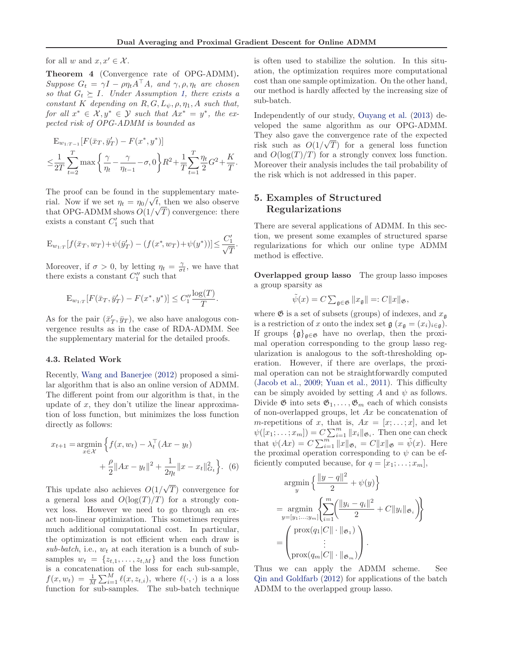<span id="page-5-0"></span>for all w and  $x, x' \in \mathcal{X}$ .

Theorem 4 (Convergence rate of OPG-ADMM). Suppose  $G_t = \gamma I - \rho \eta_t A^\top A$ , and  $\gamma, \rho, \eta_t$  are chosen so that  $G_t \succeq I$ . Under Assumption [1,](#page-3-0) there exists a constant K depending on  $R, G, L_{\psi}, \rho, \eta_1, A$  such that, for all  $x^* \in \mathcal{X}, y^* \in \mathcal{Y}$  such that  $Ax^* = y^*$ , the expected risk of OPG-ADMM is bounded as

$$
E_{w_{1:T-1}}[F(\bar{x}_T, \bar{y}'_T) - F(x^*, y^*)]
$$
  

$$
\leq \frac{1}{2T} \sum_{t=2}^T \max \left\{ \frac{\gamma}{\eta_t} - \frac{\gamma}{\eta_{t-1}} - \sigma, 0 \right\} R^2 + \frac{1}{T} \sum_{t=1}^T \frac{\eta_t}{2} G^2 + \frac{K}{T}.
$$

The proof can be found in the supplementary material. Now if we set  $\eta_t = \eta_0 / \sqrt{t}$ , then we also observe that OPG-ADMM shows  $O(1/\sqrt{T})$  convergence: there exists a constant  $C'_1$  such that

$$
\mathcal{E}_{w_{1:T}}[f(\bar{x}_T, w_T) + \psi(\bar{y}'_T) - (f(x^*, w_T) + \psi(y^*))] \le \frac{C'_1}{\sqrt{T}}.
$$

Moreover, if  $\sigma > 0$ , by letting  $\eta_t = \frac{\gamma}{\sigma t}$ , we have that there exists a constant  $C_1''$  such that

$$
\mathcal{E}_{w_{1:T}}[F(\bar{x}_T, \bar{y}'_T) - F(x^*, y^*)] \le C_1'' \frac{\log(T)}{T}.
$$

As for the pair  $(\bar{x}'_T, \bar{y}_T)$ , we also have analogous convergence results as in the case of RDA-ADMM. See the supplementary material for the detailed proofs.

#### 4.3. Related Work

Recently, [Wang and Banerjee](#page-8-0) [\(2012\)](#page-8-0) proposed a similar algorithm that is also an online version of ADMM. The different point from our algorithm is that, in the update of  $x$ , they don't utilize the linear approximation of loss function, but minimizes the loss function directly as follows:

$$
x_{t+1} = \underset{x \in \mathcal{X}}{\operatorname{argmin}} \left\{ f(x, w_t) - \lambda_t^{\top} (Ax - y_t) + \frac{\rho}{2} \|Ax - y_t\|^2 + \frac{1}{2\eta_t} \|x - x_t\|_{G_t}^2 \right\}.
$$
 (6)

This update also achieves  $O(1/\sqrt{T})$  convergence for a general loss and  $O(\log(T)/T)$  for a strongly convex loss. However we need to go through an exact non-linear optimization. This sometimes requires much additional computational cost. In particular, the optimization is not efficient when each draw is sub-batch, i.e.,  $w_t$  at each iteration is a bunch of subsamples  $w_t = \{z_{t,1}, \ldots, z_{t,M}\}\$ and the loss function is a concatenation of the loss for each sub-sample,  $f(x, w_t) = \frac{1}{M} \sum_{i=1}^{M} \ell(x, z_{t,i}),$  where  $\ell(\cdot, \cdot)$  is a a loss function for sub-samples. The sub-batch technique

is often used to stabilize the solution. In this situation, the optimization requires more computational cost than one sample optimization. On the other hand, our method is hardly affected by the increasing size of sub-batch.

Independently of our study, [Ouyang et al.](#page-8-0) [\(2013](#page-8-0)) developed the same algorithm as our OPG-ADMM. They also gave the convergence rate of the expected risk such as  $O(1/\sqrt{T})$  for a general loss function and  $O(\log(T)/T)$  for a strongly convex loss function. Moreover their analysis includes the tail probability of the risk which is not addressed in this paper.

## 5. Examples of Structured Regularizations

There are several applications of ADMM. In this section, we present some examples of structured sparse regularizations for which our online type ADMM method is effective.

Overlapped group lasso The group lasso imposes a group sparsity as

$$
\tilde{\psi}(x) = C \sum_{\mathfrak{g} \in \mathfrak{G}} \|x_{\mathfrak{g}}\| =: C \|x\|_{\mathfrak{G}},
$$

where  $\mathfrak G$  is a set of subsets (groups) of indexes, and  $x_{\mathfrak g}$ is a restriction of x onto the index set  $\mathfrak{g}(x_{\mathfrak{g}} = (x_i)_{i \in \mathfrak{g}})$ . If groups  $\{\mathfrak{g}\}_{\mathfrak{g}\in\mathfrak{G}}$  have no overlap, then the proximal operation corresponding to the group lasso regularization is analogous to the soft-thresholding operation. However, if there are overlaps, the proximal operation can not be straightforwardly computed [\(Jacob et al.,](#page-8-0) [2009](#page-8-0); [Yuan et al.](#page-8-0), [2011\)](#page-8-0). This difficulty can be simply avoided by setting A and  $\psi$  as follows. Divide  $\mathfrak{G}$  into sets  $\mathfrak{G}_1, \ldots, \mathfrak{G}_m$  each of which consists of non-overlapped groups, let Ax be concatenation of m-repetitions of x, that is,  $Ax = [x; \dots; x]$ , and let  $\psi([x_1; \dots; x_m]) = C \sum_{i=1}^m ||x_i||_{\mathfrak{G}_i}$ . Then one can check that  $\psi(Ax) = C \sum_{i=1}^{m} ||x||_{\mathfrak{G}_i} = C||x||_{\mathfrak{G}} = \tilde{\psi}(x)$ . Here the proximal operation corresponding to  $\psi$  can be efficiently computed because, for  $q = [x_1; \ldots; x_m]$ ,

$$
\operatorname*{argmin}_{y} \left\{ \frac{\|y-q\|^2}{2} + \psi(y) \right\}
$$
\n
$$
= \operatorname*{argmin}_{y = [y_1, \dots, y_m]} \left\{ \sum_{i=1}^m \left( \frac{\|y_i - q_i\|^2}{2} + C \|y_i\|_{\mathfrak{G}_i} \right) \right\}
$$
\n
$$
= \left( \operatorname*{prox}_{p = [y_1, \dots, y_m]} \left( \sum_{i=1}^m \left( \frac{\|y_i - y_i\|^2}{2} \right) \right) \right).
$$

Thus we can apply the ADMM scheme. See [Qin and Goldfarb](#page-8-0) [\(2012\)](#page-8-0) for applications of the batch ADMM to the overlapped group lasso.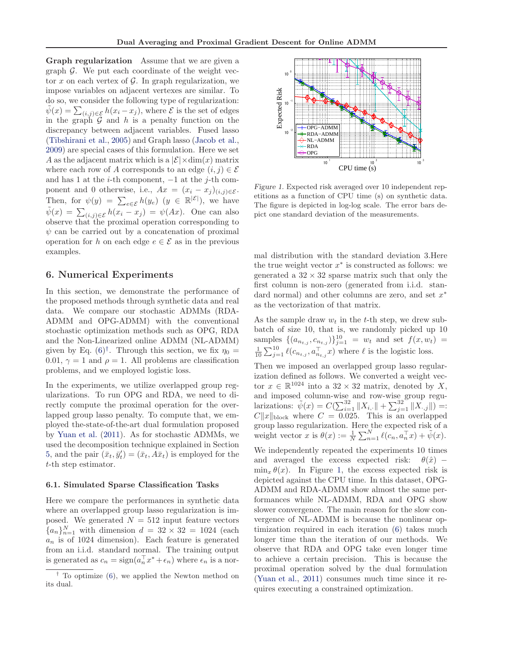Graph regularization Assume that we are given a graph  $\mathcal G$ . We put each coordinate of the weight vector x on each vertex of  $\mathcal G$ . In graph regularization, we impose variables on adjacent vertexes are similar. To do so, we consider the following type of regularization:  $\tilde{\psi}(x) = \sum_{(i,j) \in \mathcal{E}} h(x_i - x_j)$ , where  $\mathcal{E}$  is the set of edges in the graph  $G$  and  $h$  is a penalty function on the discrepancy between adjacent variables. Fused lasso [\(Tibshirani et al.,](#page-8-0) [2005\)](#page-8-0) and Graph lasso [\(Jacob et al.,](#page-8-0) [2009](#page-8-0)) are special cases of this formulation. Here we set A as the adjacent matrix which is a  $|\mathcal{E}| \times \dim(x)$  matrix where each row of A corresponds to an edge  $(i, j) \in \mathcal{E}$ and has 1 at the *i*-th component,  $-1$  at the *j*-th component and 0 otherwise, i.e.,  $Ax = (x_i - x_j)_{(i,j)\in\mathcal{E}}$ . Then, for  $\psi(y) = \sum_{e \in \mathcal{E}} h(y_e)$   $(y \in \mathbb{R}^{|\mathcal{E}|})$ , we have  $\tilde{\psi}(x) = \sum_{(i,j) \in \mathcal{E}} h(x_i - x_j) = \psi(Ax)$ . One can also observe that the proximal operation corresponding to  $\psi$  can be carried out by a concatenation of proximal operation for h on each edge  $e \in \mathcal{E}$  as in the previous examples.

### 6. Numerical Experiments

In this section, we demonstrate the performance of the proposed methods through synthetic data and real data. We compare our stochastic ADMMs (RDA-ADMM and OPG-ADMM) with the conventional stochastic optimization methods such as OPG, RDA and the Non-Linearized online ADMM (NL-ADMM) given by Eq.  $(6)^{\dagger}$ . Through this section, we fix  $\eta_0 =$ 0.01,  $\gamma = 1$  and  $\rho = 1$ . All problems are classification problems, and we employed logistic loss.

In the experiments, we utilize overlapped group regularizations. To run OPG and RDA, we need to directly compute the proximal operation for the overlapped group lasso penalty. To compute that, we employed the-state-of-the-art dual formulation proposed by [Yuan et al.](#page-8-0) [\(2011](#page-8-0)). As for stochastic ADMMs, we used the decomposition technique explained in Section [5,](#page-5-0) and the pair  $(\bar{x}_t, \bar{y}'_t) = (\bar{x}_t, A\bar{x}_t)$  is employed for the t-th step estimator.

#### 6.1. Simulated Sparse Classification Tasks

Here we compare the performances in synthetic data where an overlapped group lasso regularization is imposed. We generated  $N = 512$  input feature vectors  ${a_n}_{n=1}^N$  with dimension  $d = 32 \times 32 = 1024$  (each  $a_n$  is of 1024 dimension). Each feature is generated from an i.i.d. standard normal. The training output is generated as  $c_n = \text{sign}(a_n^\top x^* + \epsilon_n)$  where  $\epsilon_n$  is a nor-



Figure 1. Expected risk averaged over 10 independent repetitions as a function of CPU time (s) on synthetic data. The figure is depicted in log-log scale. The error bars depict one standard deviation of the measurements.

mal distribution with the standard deviation 3.Here the true weight vector  $x^*$  is constructed as follows: we generated a  $32 \times 32$  sparse matrix such that only the first column is non-zero (generated from i.i.d. standard normal) and other columns are zero, and set  $x^*$ as the vectorization of that matrix.

As the sample draw  $w_t$  in the t-th step, we drew subbatch of size 10, that is, we randomly picked up 10 samples  $\{(a_{n_{t,j}}, c_{n_{t,j}})\}_{j=1}^{10} = w_t$  and set  $f(x, w_t) = \frac{1}{10} \sum_{j=1}^{10} \ell(c_{n_{t,j}}, a_{n_{t,j}}^{\top} x)$  where  $\ell$  is the logistic loss.

Then we imposed an overlapped group lasso regularization defined as follows. We converted a weight vector  $x \in \mathbb{R}^{1024}$  into a  $32 \times 32$  matrix, denoted by X, and imposed column-wise and row-wise group regularizations:  $\tilde{\psi}(x) = C(\sum_{i=1}^{32} ||X_{i,\cdot}|| + \sum_{j=1}^{32} ||X_{\cdot,j}||) =$ :  $C||x||_{\text{block}}$  where  $C = 0.025$ . This is an overlapped group lasso regularization. Here the expected risk of a weight vector x is  $\theta(x) := \frac{1}{N} \sum_{n=1}^{N} \ell(c_n, a_n^{\top} x) + \tilde{\psi}(x)$ .

We independently repeated the experiments 10 times and averaged the excess expected risk:  $\theta(\hat{x})$  –  $\min_x \theta(x)$ . In Figure 1, the excess expected risk is depicted against the CPU time. In this dataset, OPG-ADMM and RDA-ADMM show almost the same performances while NL-ADMM, RDA and OPG show slower convergence. The main reason for the slow convergence of NL-ADMM is because the nonlinear optimization required in each iteration [\(6\)](#page-5-0) takes much longer time than the iteration of our methods. We observe that RDA and OPG take even longer time to achieve a certain precision. This is because the proximal operation solved by the dual formulation [\(Yuan et al.](#page-8-0), [2011\)](#page-8-0) consumes much time since it requires executing a constrained optimization.

<sup>&</sup>lt;sup> $\dagger$ </sup> To optimize [\(6\)](#page-5-0), we applied the Newton method on its dual.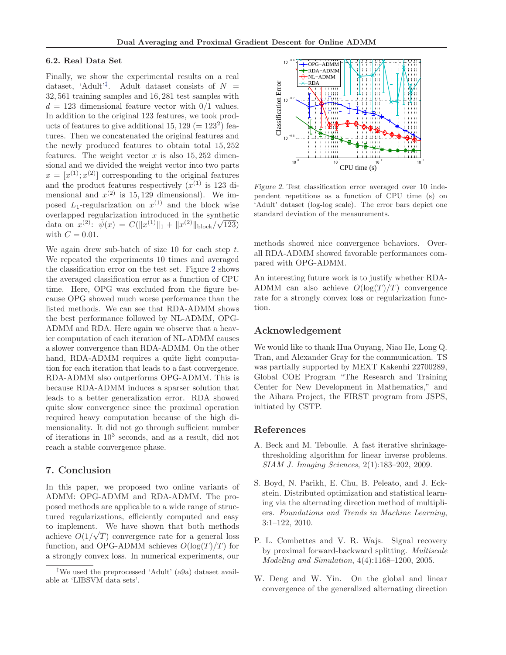#### <span id="page-7-0"></span>6.2. Real Data Set

Finally, we show the experimental results on a real dataset, 'Adult'<sup>†</sup>. Adult dataset consists of  $N =$ 32, 561 training samples and 16, 281 test samples with  $d = 123$  dimensional feature vector with  $0/1$  values. In addition to the original 123 features, we took products of features to give additional 15, 129 ( $= 123<sup>2</sup>$ ) features. Then we concatenated the original features and the newly produced features to obtain total 15, 252 features. The weight vector  $x$  is also 15, 252 dimensional and we divided the weight vector into two parts  $x = [x^{(1)}; x^{(2)}]$  corresponding to the original features and the product features respectively  $(x^{(1)}$  is 123 dimensional and  $x^{(2)}$  is 15, 129 dimensional). We imposed  $L_1$ -regularization on  $x^{(1)}$  and the block wise overlapped regularization introduced in the synthetic data on  $x^{(2)}$ :  $\tilde{\psi}(x) = C(||x^{(1)}||_1 + ||x^{(2)}||_{block}/\sqrt{123})$ with  $C = 0.01$ .

We again drew sub-batch of size  $10$  for each step  $t$ . We repeated the experiments 10 times and averaged the classification error on the test set. Figure 2 shows the averaged classification error as a function of CPU time. Here, OPG was excluded from the figure because OPG showed much worse performance than the listed methods. We can see that RDA-ADMM shows the best performance followed by NL-ADMM, OPG-ADMM and RDA. Here again we observe that a heavier computation of each iteration of NL-ADMM causes a slower convergence than RDA-ADMM. On the other hand, RDA-ADMM requires a quite light computation for each iteration that leads to a fast convergence. RDA-ADMM also outperforms OPG-ADMM. This is because RDA-ADMM induces a sparser solution that leads to a better generalization error. RDA showed quite slow convergence since the proximal operation required heavy computation because of the high dimensionality. It did not go through sufficient number of iterations in 10<sup>3</sup> seconds, and as a result, did not reach a stable convergence phase.

#### 7. Conclusion

In this paper, we proposed two online variants of ADMM: OPG-ADMM and RDA-ADMM. The proposed methods are applicable to a wide range of structured regularizations, efficiently computed and easy to implement. We have shown that both methods achieve  $O(1/\sqrt{T})$  convergence rate for a general loss function, and OPG-ADMM achieves  $O(\log(T)/T)$  for a strongly convex loss. In numerical experiments, our



Figure 2. Test classification error averaged over 10 independent repetitions as a function of CPU time (s) on 'Adult' dataset (log-log scale). The error bars depict one standard deviation of the measurements.

methods showed nice convergence behaviors. Overall RDA-ADMM showed favorable performances compared with OPG-ADMM.

An interesting future work is to justify whether RDA-ADMM can also achieve  $O(\log(T)/T)$  convergence rate for a strongly convex loss or regularization function.

#### Acknowledgement

We would like to thank Hua Ouyang, Niao He, Long Q. Tran, and Alexander Gray for the communication. TS was partially supported by MEXT Kakenhi 22700289, Global COE Program "The Research and Training Center for New Development in Mathematics," and the Aihara Project, the FIRST program from JSPS, initiated by CSTP.

#### References

- A. Beck and M. Teboulle. A fast iterative shrinkagethresholding algorithm for linear inverse problems. SIAM J. Imaging Sciences, 2(1):183–202, 2009.
- S. Boyd, N. Parikh, E. Chu, B. Peleato, and J. Eckstein. Distributed optimization and statistical learning via the alternating direction method of multipliers. Foundations and Trends in Machine Learning, 3:1–122, 2010.
- P. L. Combettes and V. R. Wajs. Signal recovery by proximal forward-backward splitting. Multiscale Modeling and Simulation, 4(4):1168–1200, 2005.
- W. Deng and W. Yin. On the global and linear convergence of the generalized alternating direction

<sup>‡</sup>We used the preprocessed 'Adult' (a9a) dataset available at 'LIBSVM data sets'.